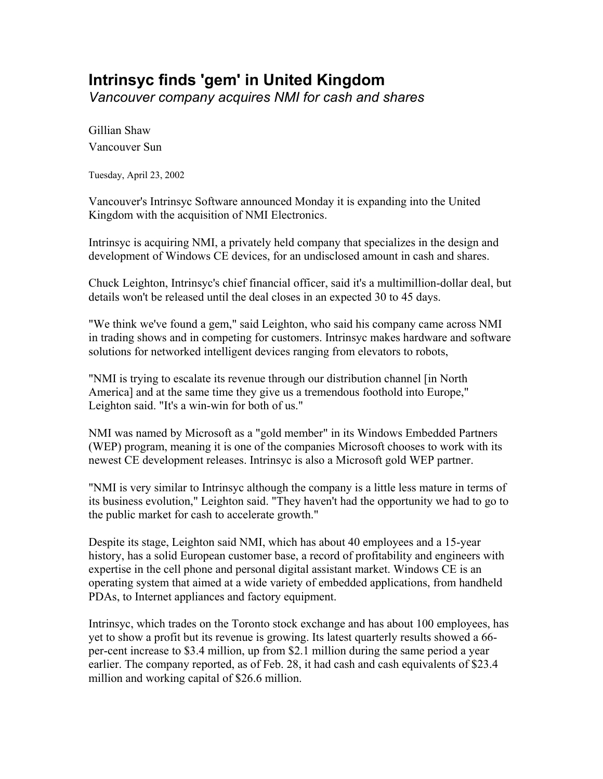## **Intrinsyc finds 'gem' in United Kingdom**

*Vancouver company acquires NMI for cash and shares* 

Gillian Shaw Vancouver Sun

Tuesday, April 23, 2002

Vancouver's Intrinsyc Software announced Monday it is expanding into the United Kingdom with the acquisition of NMI Electronics.

Intrinsyc is acquiring NMI, a privately held company that specializes in the design and development of Windows CE devices, for an undisclosed amount in cash and shares.

Chuck Leighton, Intrinsyc's chief financial officer, said it's a multimillion-dollar deal, but details won't be released until the deal closes in an expected 30 to 45 days.

"We think we've found a gem," said Leighton, who said his company came across NMI in trading shows and in competing for customers. Intrinsyc makes hardware and software solutions for networked intelligent devices ranging from elevators to robots,

"NMI is trying to escalate its revenue through our distribution channel [in North America] and at the same time they give us a tremendous foothold into Europe," Leighton said. "It's a win-win for both of us."

NMI was named by Microsoft as a "gold member" in its Windows Embedded Partners (WEP) program, meaning it is one of the companies Microsoft chooses to work with its newest CE development releases. Intrinsyc is also a Microsoft gold WEP partner.

"NMI is very similar to Intrinsyc although the company is a little less mature in terms of its business evolution," Leighton said. "They haven't had the opportunity we had to go to the public market for cash to accelerate growth."

Despite its stage, Leighton said NMI, which has about 40 employees and a 15-year history, has a solid European customer base, a record of profitability and engineers with expertise in the cell phone and personal digital assistant market. Windows CE is an operating system that aimed at a wide variety of embedded applications, from handheld PDAs, to Internet appliances and factory equipment.

Intrinsyc, which trades on the Toronto stock exchange and has about 100 employees, has yet to show a profit but its revenue is growing. Its latest quarterly results showed a 66 per-cent increase to \$3.4 million, up from \$2.1 million during the same period a year earlier. The company reported, as of Feb. 28, it had cash and cash equivalents of \$23.4 million and working capital of \$26.6 million.